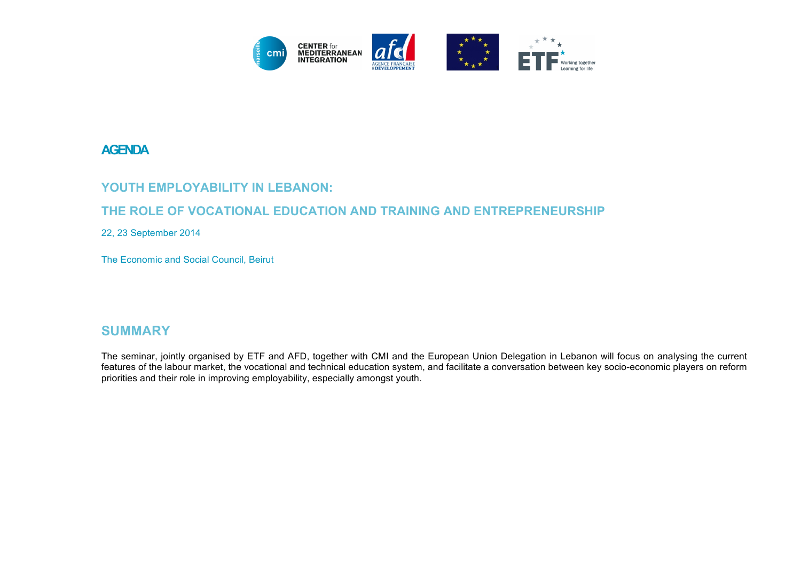

### **AGENDA**

#### YOUTH EMPLOYABILITY IN LEBANON:

#### **THE ROLE OF VOCATIONAL EDUCATION AND TRAINING AND ENTREPRENEURSHIP**

22, 23 September 2014

The Economic and Social Council, Beirut

#### **SUMMARY**

The seminar, jointly organised by ETF and AFD, together with CMI and the European Union Delegation in Lebanon will focus on analysing the current features of the labour market, the vocational and technical education system, and facilitate a conversation between key socio-economic players on reform priorities and their role in improving employability, especially amongst youth.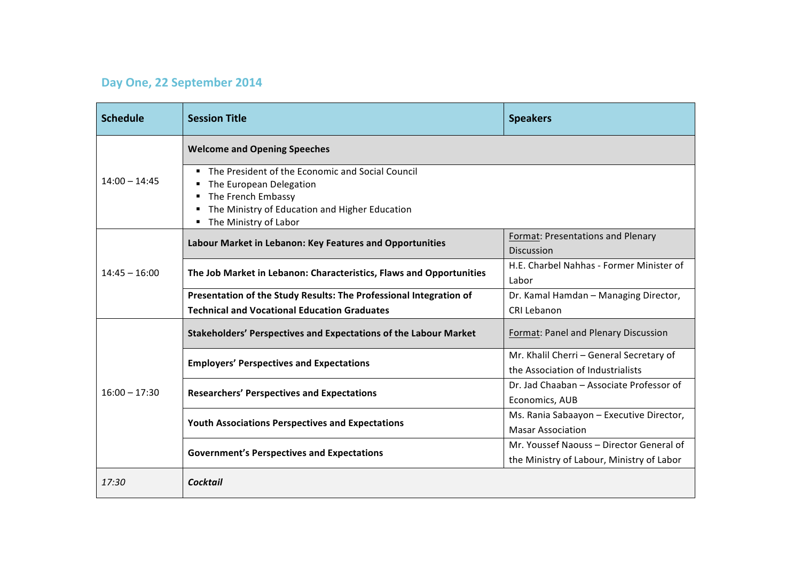# **Day One, 22 September 2014**

| <b>Schedule</b> | <b>Session Title</b>                                                                                                                                                         | <b>Speakers</b>                                                                       |
|-----------------|------------------------------------------------------------------------------------------------------------------------------------------------------------------------------|---------------------------------------------------------------------------------------|
| $14:00 - 14:45$ | <b>Welcome and Opening Speeches</b>                                                                                                                                          |                                                                                       |
|                 | The President of the Economic and Social Council<br>The European Delegation<br>The French Embassy<br>The Ministry of Education and Higher Education<br>The Ministry of Labor |                                                                                       |
| $14:45 - 16:00$ | Labour Market in Lebanon: Key Features and Opportunities                                                                                                                     | Format: Presentations and Plenary<br><b>Discussion</b>                                |
|                 | The Job Market in Lebanon: Characteristics, Flaws and Opportunities                                                                                                          | H.E. Charbel Nahhas - Former Minister of<br>Labor                                     |
|                 | Presentation of the Study Results: The Professional Integration of                                                                                                           | Dr. Kamal Hamdan - Managing Director,                                                 |
|                 | <b>Technical and Vocational Education Graduates</b>                                                                                                                          | <b>CRI Lebanon</b>                                                                    |
| $16:00 - 17:30$ | <b>Stakeholders' Perspectives and Expectations of the Labour Market</b>                                                                                                      | Format: Panel and Plenary Discussion                                                  |
|                 | <b>Employers' Perspectives and Expectations</b>                                                                                                                              | Mr. Khalil Cherri - General Secretary of<br>the Association of Industrialists         |
|                 | <b>Researchers' Perspectives and Expectations</b>                                                                                                                            | Dr. Jad Chaaban - Associate Professor of<br>Economics, AUB                            |
|                 | <b>Youth Associations Perspectives and Expectations</b>                                                                                                                      | Ms. Rania Sabaayon - Executive Director,<br><b>Masar Association</b>                  |
|                 | <b>Government's Perspectives and Expectations</b>                                                                                                                            | Mr. Youssef Naouss - Director General of<br>the Ministry of Labour, Ministry of Labor |
| 17:30           | <b>Cocktail</b>                                                                                                                                                              |                                                                                       |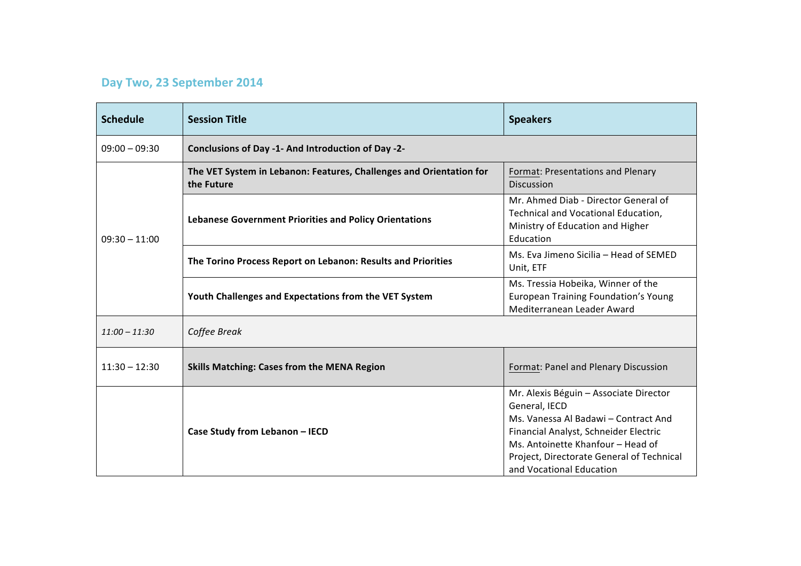## **Day Two, 23 September 2014**

| <b>Schedule</b> | <b>Session Title</b>                                                              | <b>Speakers</b>                                                                                                                                                                                                                                        |  |
|-----------------|-----------------------------------------------------------------------------------|--------------------------------------------------------------------------------------------------------------------------------------------------------------------------------------------------------------------------------------------------------|--|
| $09:00 - 09:30$ | Conclusions of Day -1- And Introduction of Day -2-                                |                                                                                                                                                                                                                                                        |  |
| $09:30 - 11:00$ | The VET System in Lebanon: Features, Challenges and Orientation for<br>the Future | Format: Presentations and Plenary<br><b>Discussion</b>                                                                                                                                                                                                 |  |
|                 | <b>Lebanese Government Priorities and Policy Orientations</b>                     | Mr. Ahmed Diab - Director General of<br>Technical and Vocational Education,<br>Ministry of Education and Higher<br>Education                                                                                                                           |  |
|                 | The Torino Process Report on Lebanon: Results and Priorities                      | Ms. Eva Jimeno Sicilia - Head of SEMED<br>Unit, ETF                                                                                                                                                                                                    |  |
|                 | Youth Challenges and Expectations from the VET System                             | Ms. Tressia Hobeika, Winner of the<br>European Training Foundation's Young<br>Mediterranean Leader Award                                                                                                                                               |  |
| $11:00 - 11:30$ | Coffee Break                                                                      |                                                                                                                                                                                                                                                        |  |
| $11:30 - 12:30$ | <b>Skills Matching: Cases from the MENA Region</b>                                | Format: Panel and Plenary Discussion                                                                                                                                                                                                                   |  |
|                 | Case Study from Lebanon - IECD                                                    | Mr. Alexis Béguin - Associate Director<br>General, IECD<br>Ms. Vanessa Al Badawi - Contract And<br>Financial Analyst, Schneider Electric<br>Ms. Antoinette Khanfour - Head of<br>Project, Directorate General of Technical<br>and Vocational Education |  |